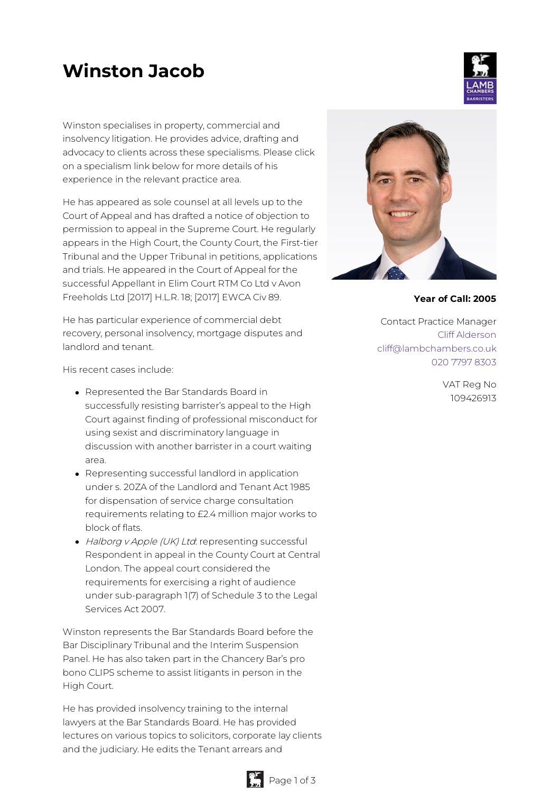# **Winston Jacob**

Winston specialises in property, commercial and insolvency litigation. He provides advice, drafting and advocacy to clients across these specialisms. Please click on a specialism link below for more details of his experience in the relevant practice area.

He has appeared as sole counsel at all levels up to the Court of Appeal and has drafted a notice of objection to permission to appeal in the Supreme Court. He regularly appears in the High Court, the County Court, the First-tier Tribunal and the Upper Tribunal in petitions, applications and trials. He appeared in the Court of Appeal for the successful Appellant in Elim Court RTM Co Ltd v Avon Freeholds Ltd [2017] H.L.R. 18; [2017] EWCA Civ 89.

He has particular experience of commercial debt recovery, personal insolvency, mortgage disputes and landlord and tenant.

His recent cases include:

- Represented the Bar Standards Board in successfully resisting barrister's appeal to the High Court against finding of professional misconduct for using sexist and discriminatory language in discussion with another barrister in a court waiting area.
- Representing successful landlord in application under s. 20ZA of the Landlord and Tenant Act 1985 for dispensation of service charge consultation requirements relating to £2.4 million major works to block of flats.
- Halborg v Apple (UK) Ltd: representing successful Respondent in appeal in the County Court at Central London. The appeal court considered the requirements for exercising a right of audience under sub-paragraph 1(7) of Schedule 3 to the Legal Services Act 2007.

Winston represents the Bar Standards Board before the Bar Disciplinary Tribunal and the Interim Suspension Panel. He has also taken part in the Chancery Bar's pro bono CLIPS scheme to assist litigants in person in the High Court.

He has provided insolvency training to the internal lawyers at the Bar Standards Board. He has provided lectures on various topics to solicitors, corporate lay clients and the judiciary. He edits the Tenant arrears and



**Year of Call: 2005**

Contact Practice Manager Cliff [Alderson](mailto:cliff@lambchambers.co.uk) [cliff@lambchambers.co.uk](mailto:cliff@lambchambers.co.uk) 020 7797 [8303](tel:020%207797%208303)

> VAT Reg No 109426913



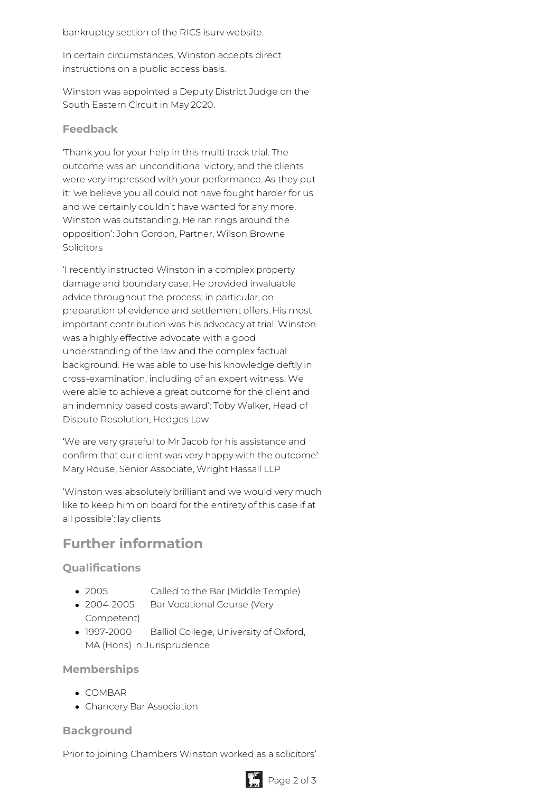bankruptcy section of the RICS isurv website.

In certain circumstances, Winston accepts direct instructions on a public access basis.

Winston was appointed a Deputy District Judge on the South Eastern Circuit in May 2020.

#### **Feedback**

'Thank you for your help in this multi track trial. The outcome was an unconditional victory, and the clients were very impressed with your performance. As they put it: 'we believe you all could not have fought harder for us and we certainly couldn't have wanted for any more. Winston was outstanding. He ran rings around the opposition': John Gordon, Partner, Wilson Browne Solicitors

'I recently instructed Winston in a complex property damage and boundary case. He provided invaluable advice throughout the process; in particular, on preparation of evidence and settlement offers. His most important contribution was his advocacy at trial. Winston was a highly effective advocate with a good understanding of the law and the complex factual background. He was able to use his knowledge deftly in cross-examination, including of an expert witness. We were able to achieve a great outcome for the client and an indemnity based costs award': Toby Walker, Head of Dispute Resolution, Hedges Law

'We are very grateful to Mr Jacob for his assistance and confirm that our client was very happy with the outcome': Mary Rouse, Senior Associate, Wright Hassall LLP

'Winston was absolutely brilliant and we would very much like to keep him on board for the entirety of this case if at all possible': lay clients

# **Further information**

## **Qualifications**

- 2005 Called to the Bar (Middle Temple)
- 2004-2005 Bar Vocational Course (Very Competent)
- 1997-2000 Balliol College, University of Oxford, MA (Hons) in Jurisprudence

#### **Memberships**

- COMBAR
- Chancery Bar Association

## **Background**

Prior to joining Chambers Winston worked as a solicitors'